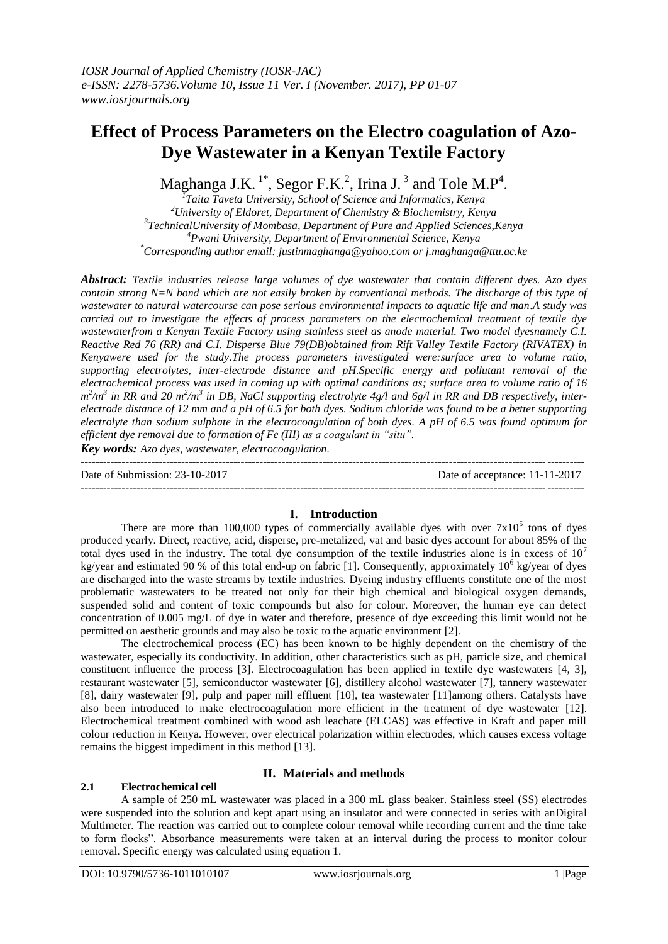# **Effect of Process Parameters on the Electro coagulation of Azo-Dye Wastewater in a Kenyan Textile Factory**

Maghanga J.K.<sup>1\*</sup>, Segor F.K.<sup>2</sup>, Irina J.<sup>3</sup> and Tole M.P<sup>4</sup>.

 *Taita Taveta University, School of Science and Informatics, Kenya University of Eldoret, Department of Chemistry & Biochemistry, Kenya TechnicalUniversity of Mombasa, Department of Pure and Applied Sciences,Kenya Pwani University, Department of Environmental Science, Kenya \*Corresponding author email[: justinmaghanga@yahoo.com](mailto:justinmaghanga@yahoo.com) or j.maghanga@ttu.ac.ke*

*Abstract: Textile industries release large volumes of dye wastewater that contain different dyes. Azo dyes contain strong N=N bond which are not easily broken by conventional methods. The discharge of this type of wastewater to natural watercourse can pose serious environmental impacts to aquatic life and man.A study was carried out to investigate the effects of process parameters on the electrochemical treatment of textile dye wastewaterfrom a Kenyan Textile Factory using stainless steel as anode material. Two model dyesnamely C.I. Reactive Red 76 (RR) and C.I. Disperse Blue 79(DB)obtained from Rift Valley Textile Factory (RIVATEX) in Kenyawere used for the study.The process parameters investigated were:surface area to volume ratio, supporting electrolytes, inter-electrode distance and pH.Specific energy and pollutant removal of the electrochemical process was used in coming up with optimal conditions as; surface area to volume ratio of 16 m 2 /m<sup>3</sup> in RR and 20 m<sup>2</sup> /m<sup>3</sup> in DB, NaCl supporting electrolyte 4g/l and 6g/l in RR and DB respectively, interelectrode distance of 12 mm and a pH of 6.5 for both dyes. Sodium chloride was found to be a better supporting electrolyte than sodium sulphate in the electrocoagulation of both dyes. A pH of 6.5 was found optimum for efficient dye removal due to formation of Fe (III) as a coagulant in "situ".*

*Key words: Azo dyes, wastewater, electrocoagulation.*

--------------------------------------------------------------------------------------------------------------------------------------- Date of Submission: 23-10-2017 Date of acceptance: 11-11-2017  $-1\leq i\leq n-1\leq n-1\leq n-1\leq n-1\leq n-1\leq n-1\leq n-1\leq n-1\leq n-1\leq n-1\leq n-1\leq n-1\leq n-1\leq n-1\leq n-1\leq n-1\leq n-1\leq n-1\leq n-1\leq n-1\leq n-1\leq n-1\leq n-1\leq n-1\leq n-1\leq n-1\leq n-1\leq n-1\leq n-1\leq n-1\leq n-1\leq n-1\leq n-1\leq n-1\leq n-1\leq n$ 

# **I. Introduction**

There are more than 100,000 types of commercially available dyes with over  $7x10<sup>5</sup>$  tons of dyes produced yearly. Direct, reactive, acid, disperse, pre-metalized, vat and basic dyes account for about 85% of the total dyes used in the industry. The total dye consumption of the textile industries alone is in excess of  $10<sup>7</sup>$ kg/year and estimated 90 % of this total end-up on fabric [1]. Consequently, approximately 10<sup>6</sup> kg/year of dyes are discharged into the waste streams by textile industries. Dyeing industry effluents constitute one of the most problematic wastewaters to be treated not only for their high chemical and biological oxygen demands, suspended solid and content of toxic compounds but also for colour. Moreover, the human eye can detect concentration of 0.005 mg/L of dye in water and therefore, presence of dye exceeding this limit would not be permitted on aesthetic grounds and may also be toxic to the aquatic environment [2].

The electrochemical process (EC) has been known to be highly dependent on the chemistry of the wastewater, especially its conductivity. In addition, other characteristics such as pH, particle size, and chemical constituent influence the process [3]. Electrocoagulation has been applied in textile dye wastewaters [4, 3], restaurant wastewater [5], semiconductor wastewater [6], distillery alcohol wastewater [7], tannery wastewater [8], dairy wastewater [9], pulp and paper mill effluent [10], tea wastewater [11]among others. Catalysts have also been introduced to make electrocoagulation more efficient in the treatment of dye wastewater [12]. Electrochemical treatment combined with wood ash leachate (ELCAS) was effective in Kraft and paper mill colour reduction in Kenya. However, over electrical polarization within electrodes, which causes excess voltage remains the biggest impediment in this method [13].

# **2.1 Electrochemical cell**

# **II. Materials and methods**

A sample of 250 mL wastewater was placed in a 300 mL glass beaker. Stainless steel (SS) electrodes were suspended into the solution and kept apart using an insulator and were connected in series with anDigital Multimeter. The reaction was carried out to complete colour removal while recording current and the time take to form flocks". Absorbance measurements were taken at an interval during the process to monitor colour removal. Specific energy was calculated using equation 1.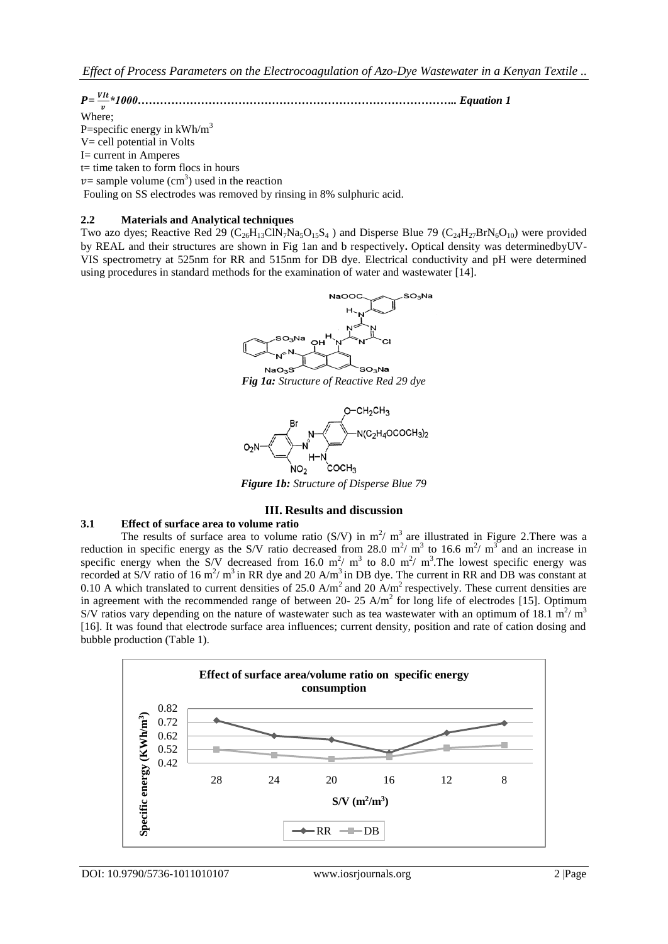$P = \frac{VIt}{r}$  *\*1000………………………………………………………………………….. Equation 1* Where;

P=specific energy in  $kWh/m<sup>3</sup>$  $V =$  cell potential in Volts I= current in Amperes  $t=$  time taken to form flocs in hours  $\nu$ = sample volume (cm<sup>3</sup>) used in the reaction Fouling on SS electrodes was removed by rinsing in 8% sulphuric acid.

#### **2.2 Materials and Analytical techniques**

Two azo dyes; Reactive Red 29 ( $C_{26}H_{13}CIN_7Na_5O_{15}S_4$ ) and Disperse Blue 79 ( $C_{24}H_{27}BrN_6O_{10}$ ) were provided by REAL and their structures are shown in Fig 1an and b respectively**.** Optical density was determinedbyUV-VIS spectrometry at 525nm for RR and 515nm for DB dye. Electrical conductivity and pH were determined using procedures in standard methods for the examination of water and wastewater [14].



*Fig 1a: Structure of Reactive Red 29 dye*



*Figure 1b: Structure of Disperse Blue 79*

# **III. Results and discussion**

#### **3.1 Effect of surface area to volume ratio**

The results of surface area to volume ratio (S/V) in  $m^2/m^3$  are illustrated in Figure 2. There was a reduction in specific energy as the S/V ratio decreased from 28.0  $m^2/m^3$  to 16.6  $m^2/m^3$  and an increase in specific energy when the S/V decreased from 16.0  $m^2/m^3$  to 8.0  $m^2/m^3$ . The lowest specific energy was recorded at S/V ratio of 16  $m^2/m^3$  in RR dye and 20 A/m<sup>3</sup> in DB dye. The current in RR and DB was constant at 0.10 A which translated to current densities of 25.0 A/m<sup>2</sup> and 20 A/m<sup>2</sup> respectively. These current densities are in agreement with the recommended range of between 20- 25  $A/m^2$  for long life of electrodes [15]. Optimum S/V ratios vary depending on the nature of wastewater such as tea wastewater with an optimum of  $18.1 \text{ m}^2/\text{ m}^3$ [16]. It was found that electrode surface area influences; current density, position and rate of cation dosing and bubble production (Table 1).



DOI: 10.9790/5736-1011010107 www.iosrjournals.org 2 |Page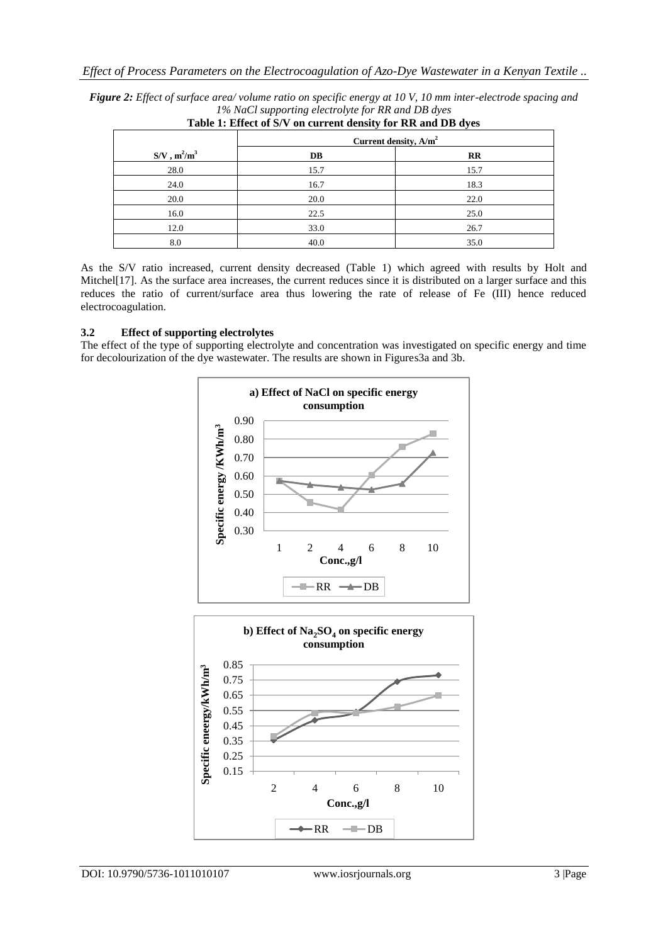|                   | -------- | $ \rightarrow$ $-$                |
|-------------------|----------|-----------------------------------|
|                   |          | Current density, A/m <sup>2</sup> |
| $S/V$ , $m^2/m^3$ | DB       | $_{\rm RR}$                       |
| 28.0              | 15.7     | 15.7                              |
| 24.0              | 16.7     | 18.3                              |
| 20.0              | 20.0     | 22.0                              |
| 16.0              | 22.5     | 25.0                              |
| 12.0              | 33.0     | 26.7                              |
| 8.0               | 40.0     | 35.0                              |

*Figure 2: Effect of surface area/ volume ratio on specific energy at 10 V, 10 mm inter-electrode spacing and 1% NaCl supporting electrolyte for RR and DB dyes*

| Table 1: Effect of S/V on current density for RR and DB dyes |
|--------------------------------------------------------------|
|--------------------------------------------------------------|

As the S/V ratio increased, current density decreased (Table 1) which agreed with results by Holt and Mitchel<sup>[17]</sup>. As the surface area increases, the current reduces since it is distributed on a larger surface and this reduces the ratio of current/surface area thus lowering the rate of release of Fe (III) hence reduced electrocoagulation.

## **3.2 Effect of supporting electrolytes**

The effect of the type of supporting electrolyte and concentration was investigated on specific energy and time for decolourization of the dye wastewater. The results are shown in Figures3a and 3b.

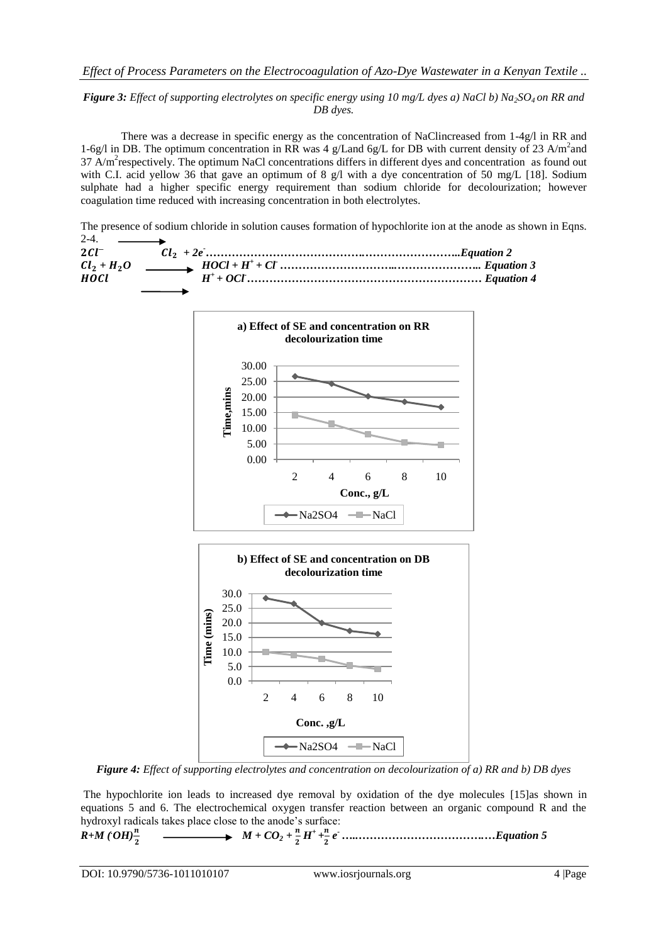## *Figure 3: Effect of supporting electrolytes on specific energy using 10 mg/L dyes a) NaCl b) Na2SO4 on RR and DB dyes.*

There was a decrease in specific energy as the concentration of NaClincreased from 1-4g/l in RR and 1-6g/l in DB. The optimum concentration in RR was 4 g/Land 6g/L for DB with current density of 23 A/m<sup>2</sup>and 37 A/m<sup>2</sup>respectively. The optimum NaCl concentrations differs in different dyes and concentration as found out with C.I. acid yellow 36 that gave an optimum of 8 g/l with a dye concentration of 50 mg/L [18]. Sodium sulphate had a higher specific energy requirement than sodium chloride for decolourization; however coagulation time reduced with increasing concentration in both electrolytes.

The presence of sodium chloride in solution causes formation of hypochlorite ion at the anode as shown in Eqns. 2-4.

 $2Cl^-$ <sup>−</sup>  *+ 2e-…………………………………….……………………..Equation 2 + O HOCl + H<sup>+</sup>+ Cl- …………………………..………………….. Equation 3 H <sup>+</sup>+ OCl-……………………………………………………… Equation 4*





*Figure 4: Effect of supporting electrolytes and concentration on decolourization of a) RR and b) DB dyes*

The hypochlorite ion leads to increased dye removal by oxidation of the dye molecules [15]as shown in equations 5 and 6. The electrochemical oxygen transfer reaction between an organic compound R and the hydroxyl radicals takes place close to the anode's surface: n  $\boldsymbol{n}$ 

*R+M (.OH) M + CO<sup>2</sup> + H + + e - …..…………………………….…Equation 5*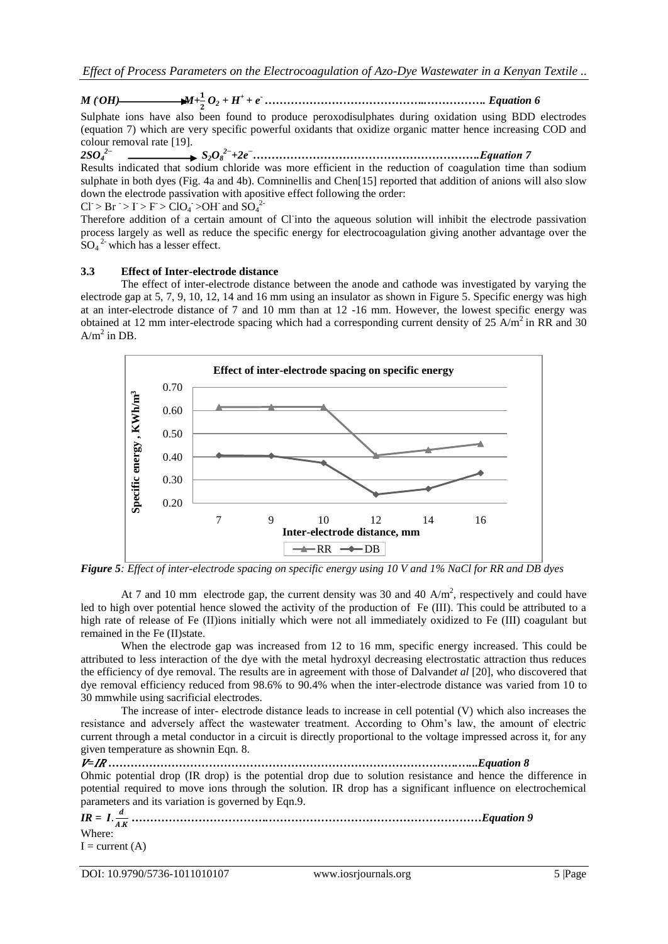$M$  ( $OH$ ) *O<sup>2</sup> + H<sup>+</sup>+ e- ……………………………………..……………. Equation 6*

Sulphate ions have also been found to produce peroxodisulphates during oxidation using BDD electrodes (equation 7) which are very specific powerful oxidants that oxidize organic matter hence increasing COD and colour removal rate [19].

*2SO<sup>4</sup> 2− S2O<sup>8</sup> 2− +2e<sup>−</sup>…………………………………………………….Equation 7*

Results indicated that sodium chloride was more efficient in the reduction of coagulation time than sodium sulphate in both dyes (Fig. 4a and 4b). Comninellis and Chen[15] reported that addition of anions will also slow down the electrode passivation with apositive effect following the order:

 $CI > Br > I > F > CIO<sub>4</sub> > OH<sup>-</sup>$  and  $SO<sub>4</sub><sup>2</sup>$ 

Therefore addition of a certain amount of Cl into the aqueous solution will inhibit the electrode passivation process largely as well as reduce the specific energy for electrocoagulation giving another advantage over the  $SO_4^2$ <sup>2</sup> which has a lesser effect.

## **3.3 Effect of Inter-electrode distance**

The effect of inter-electrode distance between the anode and cathode was investigated by varying the electrode gap at 5, 7, 9, 10, 12, 14 and 16 mm using an insulator as shown in Figure 5. Specific energy was high at an inter-electrode distance of 7 and 10 mm than at 12 -16 mm. However, the lowest specific energy was obtained at 12 mm inter-electrode spacing which had a corresponding current density of 25  $\text{A/m}^2$  in RR and 30  $A/m^2$  in DB.



*Figure 5: Effect of inter-electrode spacing on specific energy using 10 V and 1% NaCl for RR and DB dyes*

At 7 and 10 mm electrode gap, the current density was 30 and 40  $A/m<sup>2</sup>$ , respectively and could have led to high over potential hence slowed the activity of the production of Fe (III). This could be attributed to a high rate of release of Fe (II)ions initially which were not all immediately oxidized to Fe (III) coagulant but remained in the Fe (II)state.

When the electrode gap was increased from 12 to 16 mm, specific energy increased. This could be attributed to less interaction of the dye with the metal hydroxyl decreasing electrostatic attraction thus reduces the efficiency of dye removal. The results are in agreement with those of Dalvand*et al* [20], who discovered that dye removal efficiency reduced from 98.6% to 90.4% when the inter-electrode distance was varied from 10 to 30 mmwhile using sacrificial electrodes.

The increase of inter- electrode distance leads to increase in cell potential (V) which also increases the resistance and adversely affect the wastewater treatment. According to Ohm's law, the amount of electric current through a metal conductor in a circuit is directly proportional to the voltage impressed across it, for any given temperature as shownin Eqn. 8.

*= ………………………………………………………………………………….…...Equation 8* Ohmic potential drop (IR drop) is the potential drop due to solution resistance and hence the difference in potential required to move ions through the solution. IR drop has a significant influence on electrochemical parameters and its variation is governed by Eqn.9.

```
IR = I.\frac{d}{dt}.
……………………………….…………………………………………………Equation 9
Where: 
I = current (A)
```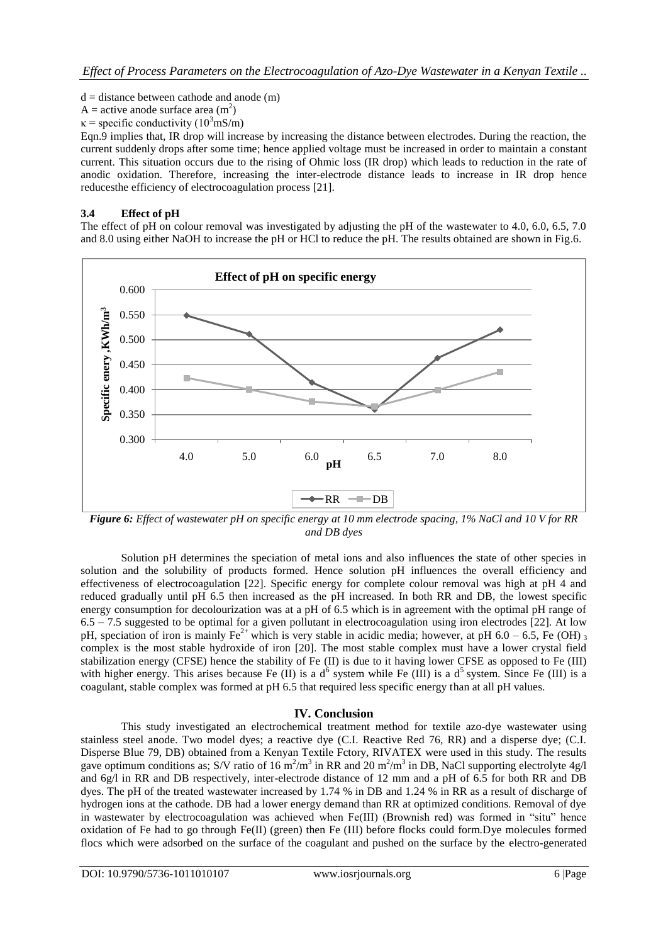$d = distance between cathode and anode (m)$ 

A = active anode surface area  $(m^2)$ 

 $\kappa$  = specific conductivity (10<sup>3</sup>mS/m)

Eqn.9 implies that, IR drop will increase by increasing the distance between electrodes. During the reaction, the current suddenly drops after some time; hence applied voltage must be increased in order to maintain a constant current. This situation occurs due to the rising of Ohmic loss (IR drop) which leads to reduction in the rate of anodic oxidation. Therefore, increasing the inter-electrode distance leads to increase in IR drop hence reducesthe efficiency of electrocoagulation process [21].

# **3.4 Effect of pH**

The effect of pH on colour removal was investigated by adjusting the pH of the wastewater to 4.0, 6.0, 6.5, 7.0 and 8.0 using either NaOH to increase the pH or HCl to reduce the pH. The results obtained are shown in Fig.6.



*Figure 6: Effect of wastewater pH on specific energy at 10 mm electrode spacing, 1% NaCl and 10 V for RR and DB dyes*

Solution pH determines the speciation of metal ions and also influences the state of other species in solution and the solubility of products formed. Hence solution pH influences the overall efficiency and effectiveness of electrocoagulation [22]. Specific energy for complete colour removal was high at pH 4 and reduced gradually until pH 6.5 then increased as the pH increased. In both RR and DB, the lowest specific energy consumption for decolourization was at a pH of 6.5 which is in agreement with the optimal pH range of 6.5 – 7.5 suggested to be optimal for a given pollutant in electrocoagulation using iron electrodes [22]. At low pH, speciation of iron is mainly Fe<sup>2+</sup> which is very stable in acidic media; however, at pH 6.0 – 6.5, Fe (OH) 3 complex is the most stable hydroxide of iron [20]. The most stable complex must have a lower crystal field stabilization energy (CFSE) hence the stability of Fe (II) is due to it having lower CFSE as opposed to Fe (III) with higher energy. This arises because Fe  $(II)$  is a d<sup>6</sup> system while Fe  $(III)$  is a d<sup>5</sup> system. Since Fe  $(III)$  is a coagulant, stable complex was formed at pH 6.5 that required less specific energy than at all pH values.

# **IV. Conclusion**

This study investigated an electrochemical treatment method for textile azo-dye wastewater using stainless steel anode. Two model dyes; a reactive dye (C.I. Reactive Red 76, RR) and a disperse dye; (C.I. Disperse Blue 79, DB) obtained from a Kenyan Textile Fctory, RIVATEX were used in this study. The results gave optimum conditions as; S/V ratio of 16  $m^2/m^3$  in RR and 20  $m^2/m^3$  in DB, NaCl supporting electrolyte 4g/l and 6g/l in RR and DB respectively, inter-electrode distance of 12 mm and a pH of 6.5 for both RR and DB dyes. The pH of the treated wastewater increased by 1.74 % in DB and 1.24 % in RR as a result of discharge of hydrogen ions at the cathode. DB had a lower energy demand than RR at optimized conditions. Removal of dye in wastewater by electrocoagulation was achieved when Fe(III) (Brownish red) was formed in "situ" hence oxidation of Fe had to go through Fe(II) (green) then Fe (III) before flocks could form.Dye molecules formed flocs which were adsorbed on the surface of the coagulant and pushed on the surface by the electro-generated